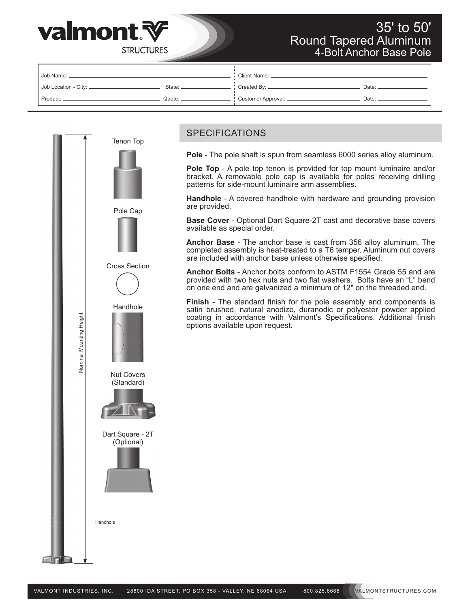

## 35' to 50' Round Tapered Aluminum 4-Bolt Anchor Base Pole

**STRUCTURES** 

| Job Name:              |        | Client Name:         |       |  |  |  |
|------------------------|--------|----------------------|-------|--|--|--|
| Job Location - City: _ | State: | Created By: _        | Date: |  |  |  |
| Product:               | Quote: | Customer Approval: _ | Date: |  |  |  |